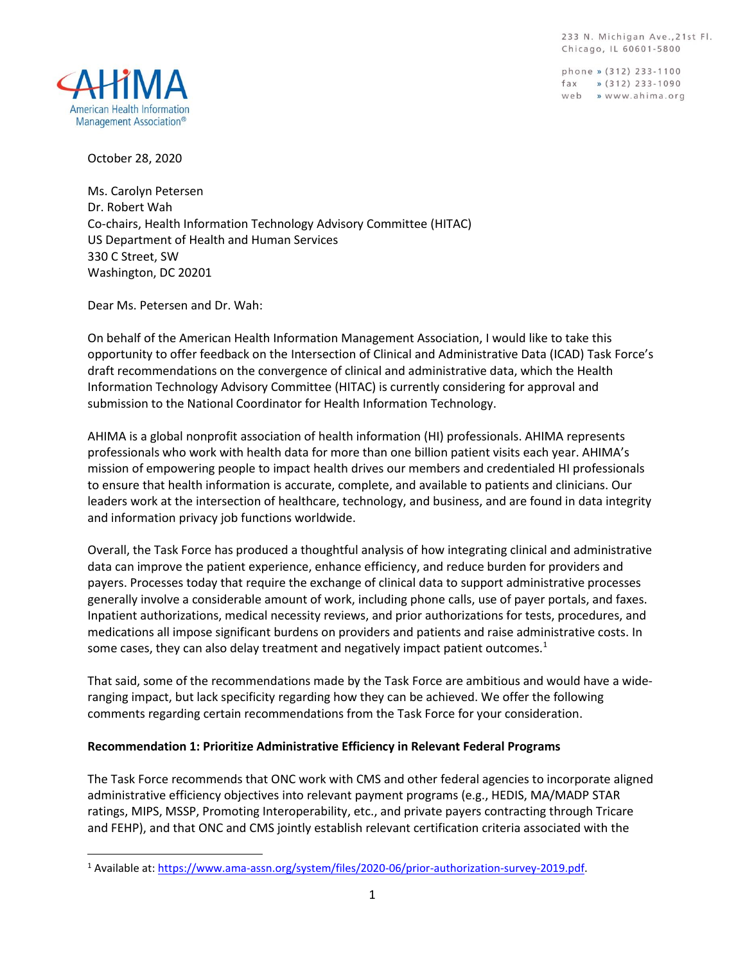233 N. Michigan Ave., 21st Fl. Chicago, IL 60601-5800

phone » (312) 233-1100  $\frac{1}{2}$  (312) 233-1090 web » www.ahima.org



October 28, 2020

Ms. Carolyn Petersen Dr. Robert Wah Co-chairs, Health Information Technology Advisory Committee (HITAC) US Department of Health and Human Services 330 C Street, SW Washington, DC 20201

Dear Ms. Petersen and Dr. Wah:

On behalf of the American Health Information Management Association, I would like to take this opportunity to offer feedback on the Intersection of Clinical and Administrative Data (ICAD) Task Force's draft recommendations on the convergence of clinical and administrative data, which the Health Information Technology Advisory Committee (HITAC) is currently considering for approval and submission to the National Coordinator for Health Information Technology.

AHIMA is a global nonprofit association of health information (HI) professionals. AHIMA represents professionals who work with health data for more than one billion patient visits each year. AHIMA's mission of empowering people to impact health drives our members and credentialed HI professionals to ensure that health information is accurate, complete, and available to patients and clinicians. Our leaders work at the intersection of healthcare, technology, and business, and are found in data integrity and information privacy job functions worldwide.

Overall, the Task Force has produced a thoughtful analysis of how integrating clinical and administrative data can improve the patient experience, enhance efficiency, and reduce burden for providers and payers. Processes today that require the exchange of clinical data to support administrative processes generally involve a considerable amount of work, including phone calls, use of payer portals, and faxes. Inpatient authorizations, medical necessity reviews, and prior authorizations for tests, procedures, and medications all impose significant burdens on providers and patients and raise administrative costs. In some cases, they can also delay treatment and negatively impact patient outcomes. $1$ 

That said, some of the recommendations made by the Task Force are ambitious and would have a wideranging impact, but lack specificity regarding how they can be achieved. We offer the following comments regarding certain recommendations from the Task Force for your consideration.

# **Recommendation 1: Prioritize Administrative Efficiency in Relevant Federal Programs**

The Task Force recommends that ONC work with CMS and other federal agencies to incorporate aligned administrative efficiency objectives into relevant payment programs (e.g., HEDIS, MA/MADP STAR ratings, MIPS, MSSP, Promoting Interoperability, etc., and private payers contracting through Tricare and FEHP), and that ONC and CMS jointly establish relevant certification criteria associated with the

<sup>1</sup> Available at: [https://www.ama-assn.org/system/files/2020-06/prior-authorization-survey-2019.pdf.](https://www.ama-assn.org/system/files/2020-06/prior-authorization-survey-2019.pdf)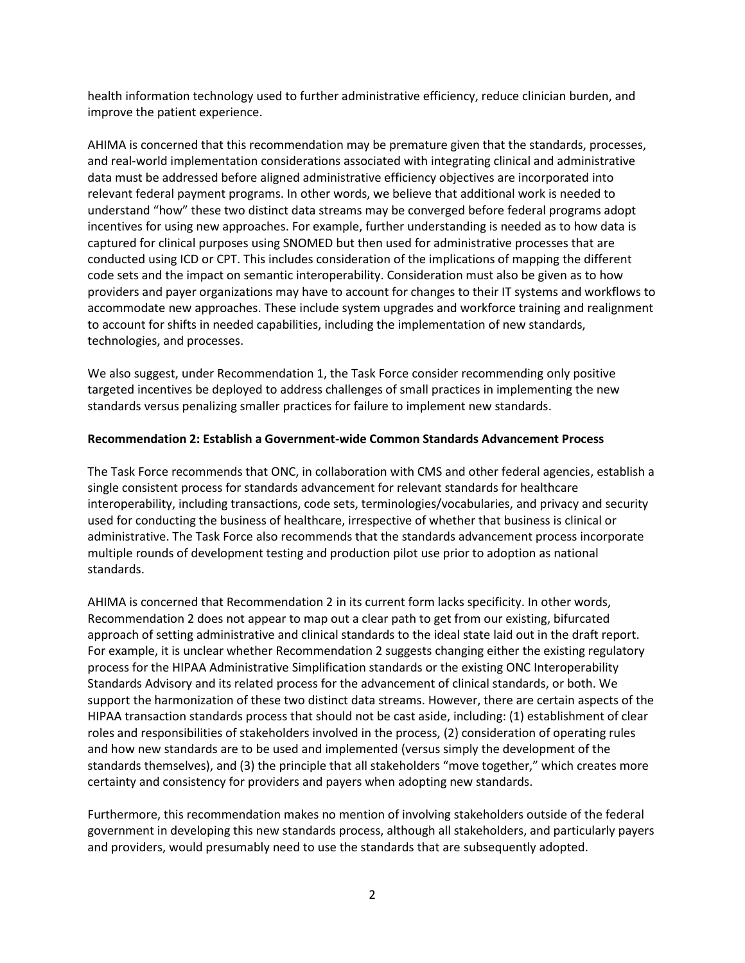health information technology used to further administrative efficiency, reduce clinician burden, and improve the patient experience.

AHIMA is concerned that this recommendation may be premature given that the standards, processes, and real-world implementation considerations associated with integrating clinical and administrative data must be addressed before aligned administrative efficiency objectives are incorporated into relevant federal payment programs. In other words, we believe that additional work is needed to understand "how" these two distinct data streams may be converged before federal programs adopt incentives for using new approaches. For example, further understanding is needed as to how data is captured for clinical purposes using SNOMED but then used for administrative processes that are conducted using ICD or CPT. This includes consideration of the implications of mapping the different code sets and the impact on semantic interoperability. Consideration must also be given as to how providers and payer organizations may have to account for changes to their IT systems and workflows to accommodate new approaches. These include system upgrades and workforce training and realignment to account for shifts in needed capabilities, including the implementation of new standards, technologies, and processes.

We also suggest, under Recommendation 1, the Task Force consider recommending only positive targeted incentives be deployed to address challenges of small practices in implementing the new standards versus penalizing smaller practices for failure to implement new standards.

# **Recommendation 2: Establish a Government-wide Common Standards Advancement Process**

The Task Force recommends that ONC, in collaboration with CMS and other federal agencies, establish a single consistent process for standards advancement for relevant standards for healthcare interoperability, including transactions, code sets, terminologies/vocabularies, and privacy and security used for conducting the business of healthcare, irrespective of whether that business is clinical or administrative. The Task Force also recommends that the standards advancement process incorporate multiple rounds of development testing and production pilot use prior to adoption as national standards.

AHIMA is concerned that Recommendation 2 in its current form lacks specificity. In other words, Recommendation 2 does not appear to map out a clear path to get from our existing, bifurcated approach of setting administrative and clinical standards to the ideal state laid out in the draft report. For example, it is unclear whether Recommendation 2 suggests changing either the existing regulatory process for the HIPAA Administrative Simplification standards or the existing ONC Interoperability Standards Advisory and its related process for the advancement of clinical standards, or both. We support the harmonization of these two distinct data streams. However, there are certain aspects of the HIPAA transaction standards process that should not be cast aside, including: (1) establishment of clear roles and responsibilities of stakeholders involved in the process, (2) consideration of operating rules and how new standards are to be used and implemented (versus simply the development of the standards themselves), and (3) the principle that all stakeholders "move together," which creates more certainty and consistency for providers and payers when adopting new standards.

Furthermore, this recommendation makes no mention of involving stakeholders outside of the federal government in developing this new standards process, although all stakeholders, and particularly payers and providers, would presumably need to use the standards that are subsequently adopted.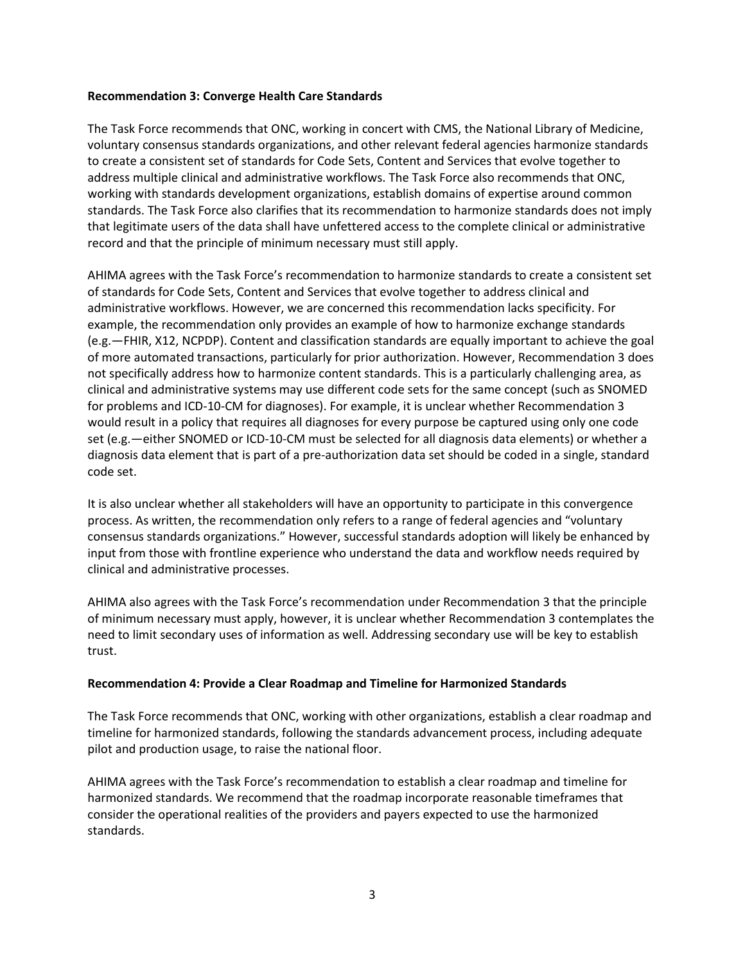## **Recommendation 3: Converge Health Care Standards**

The Task Force recommends that ONC, working in concert with CMS, the National Library of Medicine, voluntary consensus standards organizations, and other relevant federal agencies harmonize standards to create a consistent set of standards for Code Sets, Content and Services that evolve together to address multiple clinical and administrative workflows. The Task Force also recommends that ONC, working with standards development organizations, establish domains of expertise around common standards. The Task Force also clarifies that its recommendation to harmonize standards does not imply that legitimate users of the data shall have unfettered access to the complete clinical or administrative record and that the principle of minimum necessary must still apply.

AHIMA agrees with the Task Force's recommendation to harmonize standards to create a consistent set of standards for Code Sets, Content and Services that evolve together to address clinical and administrative workflows. However, we are concerned this recommendation lacks specificity. For example, the recommendation only provides an example of how to harmonize exchange standards (e.g.—FHIR, X12, NCPDP). Content and classification standards are equally important to achieve the goal of more automated transactions, particularly for prior authorization. However, Recommendation 3 does not specifically address how to harmonize content standards. This is a particularly challenging area, as clinical and administrative systems may use different code sets for the same concept (such as SNOMED for problems and ICD-10-CM for diagnoses). For example, it is unclear whether Recommendation 3 would result in a policy that requires all diagnoses for every purpose be captured using only one code set (e.g.—either SNOMED or ICD-10-CM must be selected for all diagnosis data elements) or whether a diagnosis data element that is part of a pre-authorization data set should be coded in a single, standard code set.

It is also unclear whether all stakeholders will have an opportunity to participate in this convergence process. As written, the recommendation only refers to a range of federal agencies and "voluntary consensus standards organizations." However, successful standards adoption will likely be enhanced by input from those with frontline experience who understand the data and workflow needs required by clinical and administrative processes.

AHIMA also agrees with the Task Force's recommendation under Recommendation 3 that the principle of minimum necessary must apply, however, it is unclear whether Recommendation 3 contemplates the need to limit secondary uses of information as well. Addressing secondary use will be key to establish trust.

# **Recommendation 4: Provide a Clear Roadmap and Timeline for Harmonized Standards**

The Task Force recommends that ONC, working with other organizations, establish a clear roadmap and timeline for harmonized standards, following the standards advancement process, including adequate pilot and production usage, to raise the national floor.

AHIMA agrees with the Task Force's recommendation to establish a clear roadmap and timeline for harmonized standards. We recommend that the roadmap incorporate reasonable timeframes that consider the operational realities of the providers and payers expected to use the harmonized standards.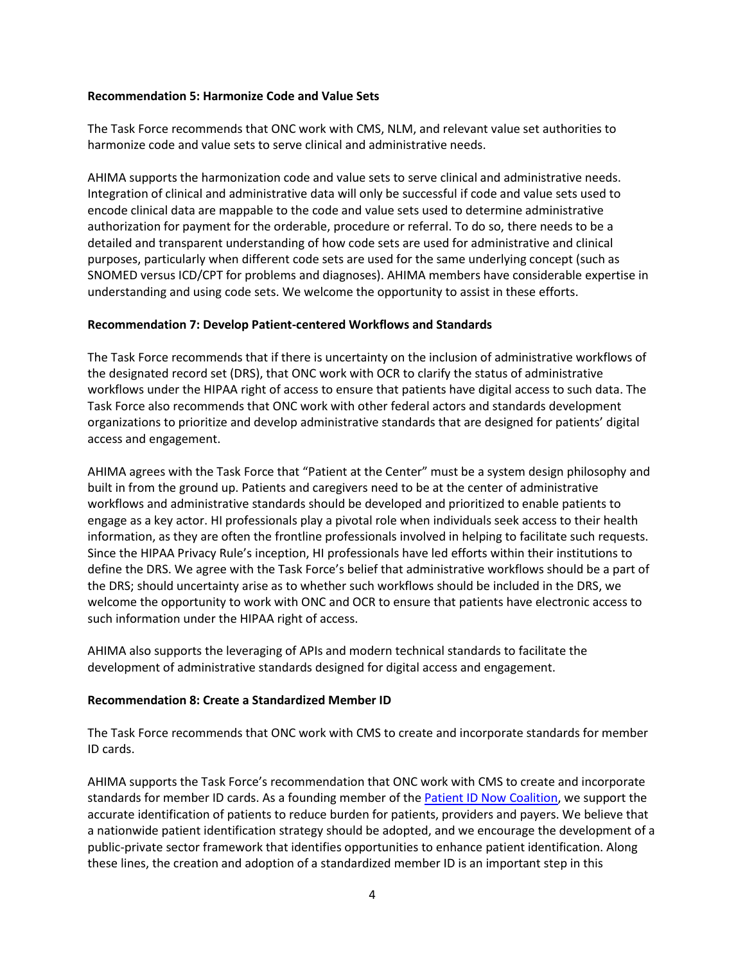## **Recommendation 5: Harmonize Code and Value Sets**

The Task Force recommends that ONC work with CMS, NLM, and relevant value set authorities to harmonize code and value sets to serve clinical and administrative needs.

AHIMA supports the harmonization code and value sets to serve clinical and administrative needs. Integration of clinical and administrative data will only be successful if code and value sets used to encode clinical data are mappable to the code and value sets used to determine administrative authorization for payment for the orderable, procedure or referral. To do so, there needs to be a detailed and transparent understanding of how code sets are used for administrative and clinical purposes, particularly when different code sets are used for the same underlying concept (such as SNOMED versus ICD/CPT for problems and diagnoses). AHIMA members have considerable expertise in understanding and using code sets. We welcome the opportunity to assist in these efforts.

## **Recommendation 7: Develop Patient-centered Workflows and Standards**

The Task Force recommends that if there is uncertainty on the inclusion of administrative workflows of the designated record set (DRS), that ONC work with OCR to clarify the status of administrative workflows under the HIPAA right of access to ensure that patients have digital access to such data. The Task Force also recommends that ONC work with other federal actors and standards development organizations to prioritize and develop administrative standards that are designed for patients' digital access and engagement.

AHIMA agrees with the Task Force that "Patient at the Center" must be a system design philosophy and built in from the ground up. Patients and caregivers need to be at the center of administrative workflows and administrative standards should be developed and prioritized to enable patients to engage as a key actor. HI professionals play a pivotal role when individuals seek access to their health information, as they are often the frontline professionals involved in helping to facilitate such requests. Since the HIPAA Privacy Rule's inception, HI professionals have led efforts within their institutions to define the DRS. We agree with the Task Force's belief that administrative workflows should be a part of the DRS; should uncertainty arise as to whether such workflows should be included in the DRS, we welcome the opportunity to work with ONC and OCR to ensure that patients have electronic access to such information under the HIPAA right of access.

AHIMA also supports the leveraging of APIs and modern technical standards to facilitate the development of administrative standards designed for digital access and engagement.

# **Recommendation 8: Create a Standardized Member ID**

The Task Force recommends that ONC work with CMS to create and incorporate standards for member ID cards.

AHIMA supports the Task Force's recommendation that ONC work with CMS to create and incorporate standards for member ID cards. As a founding member of the [Patient ID Now Coalition,](https://patientidnow.org/) we support the accurate identification of patients to reduce burden for patients, providers and payers. We believe that a nationwide patient identification strategy should be adopted, and we encourage the development of a public-private sector framework that identifies opportunities to enhance patient identification. Along these lines, the creation and adoption of a standardized member ID is an important step in this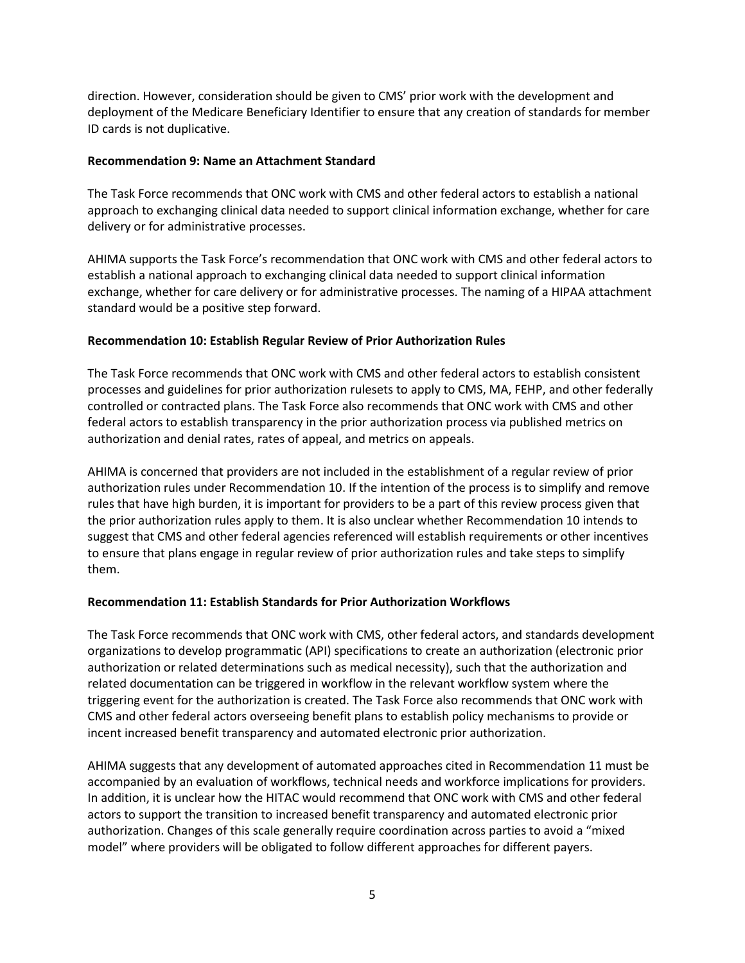direction. However, consideration should be given to CMS' prior work with the development and deployment of the Medicare Beneficiary Identifier to ensure that any creation of standards for member ID cards is not duplicative.

## **Recommendation 9: Name an Attachment Standard**

The Task Force recommends that ONC work with CMS and other federal actors to establish a national approach to exchanging clinical data needed to support clinical information exchange, whether for care delivery or for administrative processes.

AHIMA supports the Task Force's recommendation that ONC work with CMS and other federal actors to establish a national approach to exchanging clinical data needed to support clinical information exchange, whether for care delivery or for administrative processes. The naming of a HIPAA attachment standard would be a positive step forward.

# **Recommendation 10: Establish Regular Review of Prior Authorization Rules**

The Task Force recommends that ONC work with CMS and other federal actors to establish consistent processes and guidelines for prior authorization rulesets to apply to CMS, MA, FEHP, and other federally controlled or contracted plans. The Task Force also recommends that ONC work with CMS and other federal actors to establish transparency in the prior authorization process via published metrics on authorization and denial rates, rates of appeal, and metrics on appeals.

AHIMA is concerned that providers are not included in the establishment of a regular review of prior authorization rules under Recommendation 10. If the intention of the process is to simplify and remove rules that have high burden, it is important for providers to be a part of this review process given that the prior authorization rules apply to them. It is also unclear whether Recommendation 10 intends to suggest that CMS and other federal agencies referenced will establish requirements or other incentives to ensure that plans engage in regular review of prior authorization rules and take steps to simplify them.

# **Recommendation 11: Establish Standards for Prior Authorization Workflows**

The Task Force recommends that ONC work with CMS, other federal actors, and standards development organizations to develop programmatic (API) specifications to create an authorization (electronic prior authorization or related determinations such as medical necessity), such that the authorization and related documentation can be triggered in workflow in the relevant workflow system where the triggering event for the authorization is created. The Task Force also recommends that ONC work with CMS and other federal actors overseeing benefit plans to establish policy mechanisms to provide or incent increased benefit transparency and automated electronic prior authorization.

AHIMA suggests that any development of automated approaches cited in Recommendation 11 must be accompanied by an evaluation of workflows, technical needs and workforce implications for providers. In addition, it is unclear how the HITAC would recommend that ONC work with CMS and other federal actors to support the transition to increased benefit transparency and automated electronic prior authorization. Changes of this scale generally require coordination across parties to avoid a "mixed model" where providers will be obligated to follow different approaches for different payers.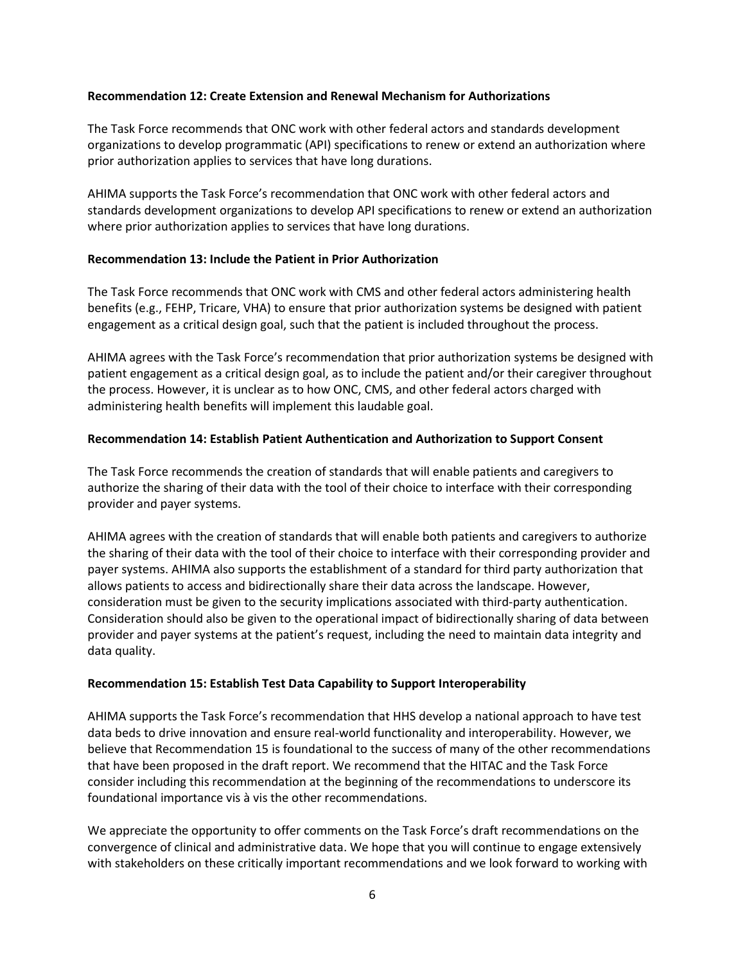## **Recommendation 12: Create Extension and Renewal Mechanism for Authorizations**

The Task Force recommends that ONC work with other federal actors and standards development organizations to develop programmatic (API) specifications to renew or extend an authorization where prior authorization applies to services that have long durations.

AHIMA supports the Task Force's recommendation that ONC work with other federal actors and standards development organizations to develop API specifications to renew or extend an authorization where prior authorization applies to services that have long durations.

## **Recommendation 13: Include the Patient in Prior Authorization**

The Task Force recommends that ONC work with CMS and other federal actors administering health benefits (e.g., FEHP, Tricare, VHA) to ensure that prior authorization systems be designed with patient engagement as a critical design goal, such that the patient is included throughout the process.

AHIMA agrees with the Task Force's recommendation that prior authorization systems be designed with patient engagement as a critical design goal, as to include the patient and/or their caregiver throughout the process. However, it is unclear as to how ONC, CMS, and other federal actors charged with administering health benefits will implement this laudable goal.

# **Recommendation 14: Establish Patient Authentication and Authorization to Support Consent**

The Task Force recommends the creation of standards that will enable patients and caregivers to authorize the sharing of their data with the tool of their choice to interface with their corresponding provider and payer systems.

AHIMA agrees with the creation of standards that will enable both patients and caregivers to authorize the sharing of their data with the tool of their choice to interface with their corresponding provider and payer systems. AHIMA also supports the establishment of a standard for third party authorization that allows patients to access and bidirectionally share their data across the landscape. However, consideration must be given to the security implications associated with third-party authentication. Consideration should also be given to the operational impact of bidirectionally sharing of data between provider and payer systems at the patient's request, including the need to maintain data integrity and data quality.

#### **Recommendation 15: Establish Test Data Capability to Support Interoperability**

AHIMA supports the Task Force's recommendation that HHS develop a national approach to have test data beds to drive innovation and ensure real-world functionality and interoperability. However, we believe that Recommendation 15 is foundational to the success of many of the other recommendations that have been proposed in the draft report. We recommend that the HITAC and the Task Force consider including this recommendation at the beginning of the recommendations to underscore its foundational importance vis à vis the other recommendations.

We appreciate the opportunity to offer comments on the Task Force's draft recommendations on the convergence of clinical and administrative data. We hope that you will continue to engage extensively with stakeholders on these critically important recommendations and we look forward to working with